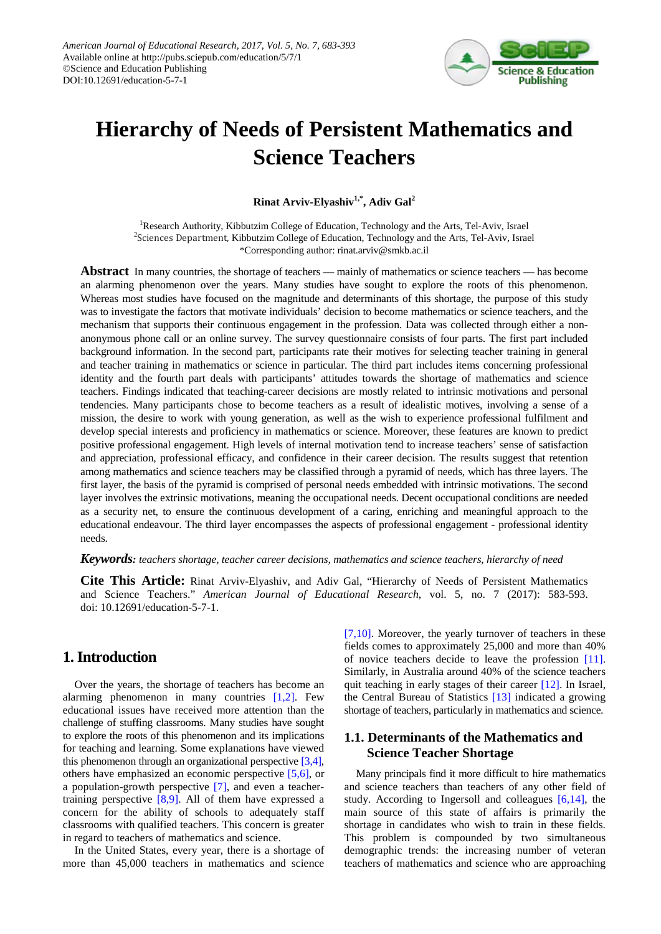

# **Hierarchy of Needs of Persistent Mathematics and Science Teachers**

**Rinat Arviv-Elyashiv1,\* , Adiv Gal2**

<sup>1</sup>Research Authority, Kibbutzim College of Education, Technology and the Arts, Tel-Aviv, Israel <sup>2</sup>Sciences Department, Kibbutzim College of Education, Technology and the Arts, Tel-Aviv, Israel \*Corresponding author: rinat.arviv@smkb.ac.il

**Abstract** In many countries, the shortage of teachers — mainly of mathematics or science teachers — has become an alarming phenomenon over the years. Many studies have sought to explore the roots of this phenomenon. Whereas most studies have focused on the magnitude and determinants of this shortage, the purpose of this study was to investigate the factors that motivate individuals' decision to become mathematics or science teachers, and the mechanism that supports their continuous engagement in the profession. Data was collected through either a nonanonymous phone call or an online survey. The survey questionnaire consists of four parts. The first part included background information. In the second part, participants rate their motives for selecting teacher training in general and teacher training in mathematics or science in particular. The third part includes items concerning professional identity and the fourth part deals with participants' attitudes towards the shortage of mathematics and science teachers. Findings indicated that teaching-career decisions are mostly related to intrinsic motivations and personal tendencies. Many participants chose to become teachers as a result of idealistic motives, involving a sense of a mission, the desire to work with young generation, as well as the wish to experience professional fulfilment and develop special interests and proficiency in mathematics or science. Moreover, these features are known to predict positive professional engagement. High levels of internal motivation tend to increase teachers' sense of satisfaction and appreciation, professional efficacy, and confidence in their career decision. The results suggest that retention among mathematics and science teachers may be classified through a pyramid of needs, which has three layers. The first layer, the basis of the pyramid is comprised of personal needs embedded with intrinsic motivations. The second layer involves the extrinsic motivations, meaning the occupational needs. Decent occupational conditions are needed as a security net, to ensure the continuous development of a caring, enriching and meaningful approach to the educational endeavour. The third layer encompasses the aspects of professional engagement - professional identity needs.

#### *Keywords: teachers shortage, teacher career decisions, mathematics and science teachers, hierarchy of need*

**Cite This Article:** Rinat Arviv-Elyashiv, and Adiv Gal, "Hierarchy of Needs of Persistent Mathematics and Science Teachers." *American Journal of Educational Research*, vol. 5, no. 7 (2017): 583-593. doi: 10.12691/education-5-7-1.

# **1. Introduction**

Over the years, the shortage of teachers has become an alarming phenomenon in many countries [\[1,2\].](#page-8-0) Few educational issues have received more attention than the challenge of stuffing classrooms. Many studies have sought to explore the roots of this phenomenon and its implications for teaching and learning. Some explanations have viewed this phenomenon through an organizational perspectiv[e \[3,4\],](#page-8-1) others have emphasized an economic perspective [\[5,6\],](#page-9-0) or a population-growth perspective [\[7\],](#page-9-1) and even a teachertraining perspective  $[8,9]$ . All of them have expressed a concern for the ability of schools to adequately staff classrooms with qualified teachers. This concern is greater in regard to teachers of mathematics and science.

In the United States, every year, there is a shortage of more than 45,000 teachers in mathematics and science

[\[7,10\].](#page-9-1) Moreover, the yearly turnover of teachers in these fields comes to approximately 25,000 and more than 40% of novice teachers decide to leave the profession [\[11\].](#page-9-3) Similarly, in Australia around 40% of the science teachers quit teaching in early stages of their career [\[12\].](#page-9-4) In Israel, the Central Bureau of Statistics [\[13\]](#page-9-5) indicated a growing shortage of teachers, particularly in mathematics and science.

# **1.1. Determinants of the Mathematics and Science Teacher Shortage**

Many principals find it more difficult to hire mathematics and science teachers than teachers of any other field of study. According to Ingersoll and colleagues [\[6,14\],](#page-9-6) the main source of this state of affairs is primarily the shortage in candidates who wish to train in these fields. This problem is compounded by two simultaneous demographic trends: the increasing number of veteran teachers of mathematics and science who are approaching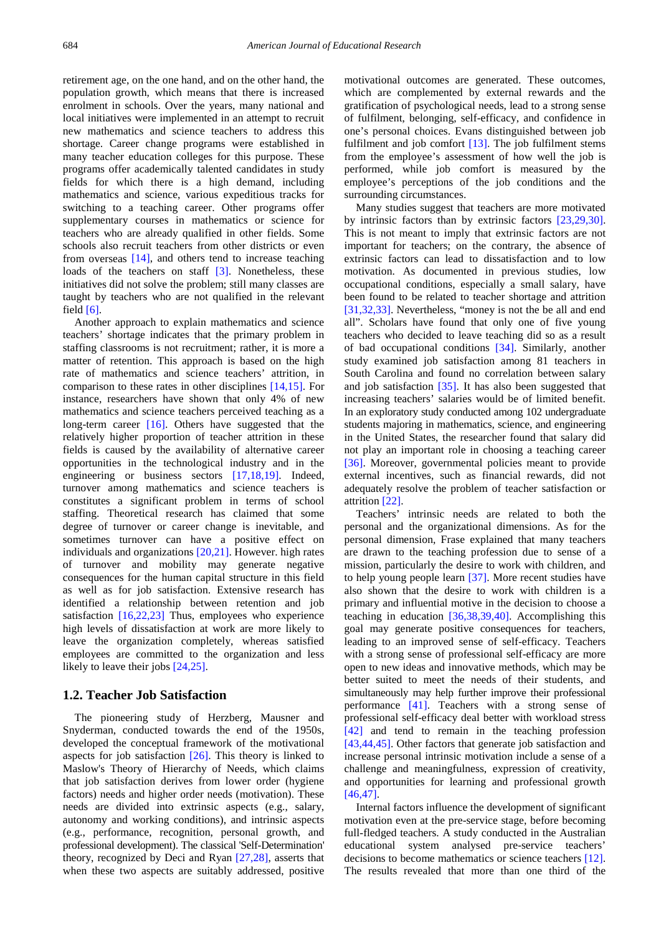retirement age, on the one hand, and on the other hand, the population growth, which means that there is increased enrolment in schools. Over the years, many national and local initiatives were implemented in an attempt to recruit new mathematics and science teachers to address this shortage. Career change programs were established in many teacher education colleges for this purpose. These programs offer academically talented candidates in study fields for which there is a high demand, including mathematics and science, various expeditious tracks for switching to a teaching career. Other programs offer supplementary courses in mathematics or science for teachers who are already qualified in other fields. Some schools also recruit teachers from other districts or even from overseas [\[14\],](#page-9-7) and others tend to increase teaching loads of the teachers on staff [\[3\].](#page-8-1) Nonetheless, these initiatives did not solve the problem; still many classes are taught by teachers who are not qualified in the relevant field [\[6\].](#page-9-6)

Another approach to explain mathematics and science teachers' shortage indicates that the primary problem in staffing classrooms is not recruitment; rather, it is more a matter of retention. This approach is based on the high rate of mathematics and science teachers' attrition, in comparison to these rates in other disciplines [\[14,15\].](#page-9-7) For instance, researchers have shown that only 4% of new mathematics and science teachers perceived teaching as a long-term career [\[16\].](#page-9-8) Others have suggested that the relatively higher proportion of teacher attrition in these fields is caused by the availability of alternative career opportunities in the technological industry and in the engineering or business sectors [\[17,18,19\].](#page-9-9) Indeed, turnover among mathematics and science teachers is constitutes a significant problem in terms of school staffing. Theoretical research has claimed that some degree of turnover or career change is inevitable, and sometimes turnover can have a positive effect on individuals and organizations [\[20,21\].](#page-9-10) However. high rates of turnover and mobility may generate negative consequences for the human capital structure in this field as well as for job satisfaction. Extensive research has identified a relationship between retention and job satisfaction [\[16,22,23\]](#page-9-8) Thus, employees who experience high levels of dissatisfaction at work are more likely to leave the organization completely, whereas satisfied employees are committed to the organization and less likely to leave their jobs [\[24,25\].](#page-9-11)

#### **1.2. Teacher Job Satisfaction**

The pioneering study of Herzberg, Mausner and Snyderman, conducted towards the end of the 1950s, developed the conceptual framework of the motivational aspects for job satisfaction  $[26]$ . This theory is linked to Maslow's Theory of Hierarchy of Needs, which claims that job satisfaction derives from lower order (hygiene factors) needs and higher order needs (motivation). These needs are divided into extrinsic aspects (e.g., salary, autonomy and working conditions), and intrinsic aspects (e.g., performance, recognition, personal growth, and professional development). The classical 'Self-Determination' theory, recognized by Deci and Ryan [\[27,28\],](#page-9-13) asserts that when these two aspects are suitably addressed, positive motivational outcomes are generated. These outcomes, which are complemented by external rewards and the gratification of psychological needs, lead to a strong sense of fulfilment, belonging, self-efficacy, and confidence in one's personal choices. Evans distinguished between job fulfilment and job comfort [\[13\].](#page-9-5) The job fulfilment stems from the employee's assessment of how well the job is performed, while job comfort is measured by the employee's perceptions of the job conditions and the surrounding circumstances.

Many studies suggest that teachers are more motivated by intrinsic factors than by extrinsic factors [\[23,29,30\].](#page-9-14) This is not meant to imply that extrinsic factors are not important for teachers; on the contrary, the absence of extrinsic factors can lead to dissatisfaction and to low motivation. As documented in previous studies, low occupational conditions, especially a small salary, have been found to be related to teacher shortage and attrition [\[31,32,33\].](#page-9-15) Nevertheless, "money is not the be all and end all". Scholars have found that only one of five young teachers who decided to leave teaching did so as a result of bad occupational conditions [\[34\].](#page-9-16) Similarly, another study examined job satisfaction among 81 teachers in South Carolina and found no correlation between salary and job satisfaction [\[35\].](#page-9-17) It has also been suggested that increasing teachers' salaries would be of limited benefit. In an exploratory study conducted among 102 undergraduate students majoring in mathematics, science, and engineering in the United States, the researcher found that salary did not play an important role in choosing a teaching career [\[36\].](#page-9-18) Moreover, governmental policies meant to provide external incentives, such as financial rewards, did not adequately resolve the problem of teacher satisfaction or attrition [\[22\].](#page-9-19)

Teachers' intrinsic needs are related to both the personal and the organizational dimensions. As for the personal dimension, Frase explained that many teachers are drawn to the teaching profession due to sense of a mission, particularly the desire to work with children, and to help young people learn [\[37\].](#page-9-20) More recent studies have also shown that the desire to work with children is a primary and influential motive in the decision to choose a teaching in education [\[36,38,39,40\].](#page-9-18) Accomplishing this goal may generate positive consequences for teachers, leading to an improved sense of self-efficacy. Teachers with a strong sense of professional self-efficacy are more open to new ideas and innovative methods, which may be better suited to meet the needs of their students, and simultaneously may help further improve their professional performance [\[41\].](#page-9-21) Teachers with a strong sense of professional self-efficacy deal better with workload stress [\[42\]](#page-9-22) and tend to remain in the teaching profession [\[43,44,45\].](#page-9-23) Other factors that generate job satisfaction and increase personal intrinsic motivation include a sense of a challenge and meaningfulness, expression of creativity, and opportunities for learning and professional growth [\[46,47\].](#page-9-24)

Internal factors influence the development of significant motivation even at the pre-service stage, before becoming full-fledged teachers. A study conducted in the Australian educational system analysed pre-service teachers' decisions to become mathematics or science teachers [\[12\].](#page-9-4) The results revealed that more than one third of the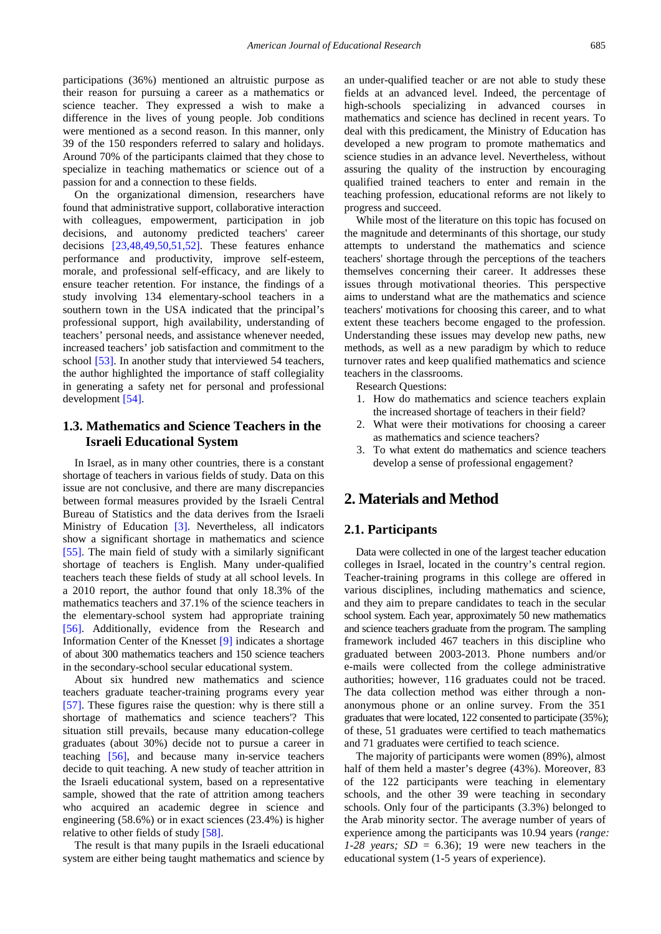participations (36%) mentioned an altruistic purpose as their reason for pursuing a career as a mathematics or science teacher. They expressed a wish to make a difference in the lives of young people. Job conditions were mentioned as a second reason. In this manner, only 39 of the 150 responders referred to salary and holidays. Around 70% of the participants claimed that they chose to specialize in teaching mathematics or science out of a passion for and a connection to these fields.

On the organizational dimension, researchers have found that administrative support, collaborative interaction with colleagues, empowerment, participation in job decisions, and autonomy predicted teachers' career decisions [\[23,48,49,50,51,52\].](#page-9-14) These features enhance performance and productivity, improve self-esteem, morale, and professional self-efficacy, and are likely to ensure teacher retention. For instance, the findings of a study involving 134 elementary-school teachers in a southern town in the USA indicated that the principal's professional support, high availability, understanding of teachers' personal needs, and assistance whenever needed, increased teachers' job satisfaction and commitment to the school [\[53\].](#page-10-0) In another study that interviewed 54 teachers, the author highlighted the importance of staff collegiality in generating a safety net for personal and professional development [\[54\].](#page-10-1)

# **1.3. Mathematics and Science Teachers in the Israeli Educational System**

In Israel, as in many other countries, there is a constant shortage of teachers in various fields of study. Data on this issue are not conclusive, and there are many discrepancies between formal measures provided by the Israeli Central Bureau of Statistics and the data derives from the Israeli Ministry of Education [\[3\].](#page-8-1) Nevertheless, all indicators show a significant shortage in mathematics and science [\[55\].](#page-10-2) The main field of study with a similarly significant shortage of teachers is English. Many under-qualified teachers teach these fields of study at all school levels. In a 2010 report, the author found that only 18.3% of the mathematics teachers and 37.1% of the science teachers in the elementary-school system had appropriate training [\[56\].](#page-10-3) Additionally, evidence from the Research and Information Center of the Knesset [\[9\]](#page-9-25) indicates a shortage of about 300 mathematics teachers and 150 science teachers in the secondary-school secular educational system.

About six hundred new mathematics and science teachers graduate teacher-training programs every year [\[57\].](#page-10-4) These figures raise the question: why is there still a shortage of mathematics and science teachers'? This situation still prevails, because many education-college graduates (about 30%) decide not to pursue a career in teaching [\[56\],](#page-10-3) and because many in-service teachers decide to quit teaching. A new study of teacher attrition in the Israeli educational system, based on a representative sample, showed that the rate of attrition among teachers who acquired an academic degree in science and engineering (58.6%) or in exact sciences (23.4%) is higher relative to other fields of study [\[58\].](#page-10-5)

The result is that many pupils in the Israeli educational system are either being taught mathematics and science by an under-qualified teacher or are not able to study these fields at an advanced level. Indeed, the percentage of high-schools specializing in advanced courses in mathematics and science has declined in recent years. To deal with this predicament, the Ministry of Education has developed a new program to promote mathematics and science studies in an advance level. Nevertheless, without assuring the quality of the instruction by encouraging qualified trained teachers to enter and remain in the teaching profession, educational reforms are not likely to progress and succeed.

While most of the literature on this topic has focused on the magnitude and determinants of this shortage, our study attempts to understand the mathematics and science teachers' shortage through the perceptions of the teachers themselves concerning their career. It addresses these issues through motivational theories. This perspective aims to understand what are the mathematics and science teachers' motivations for choosing this career, and to what extent these teachers become engaged to the profession. Understanding these issues may develop new paths, new methods, as well as a new paradigm by which to reduce turnover rates and keep qualified mathematics and science teachers in the classrooms.

Research Questions:

- 1. How do mathematics and science teachers explain the increased shortage of teachers in their field?
- 2. What were their motivations for choosing a career as mathematics and science teachers?
- 3. To what extent do mathematics and science teachers develop a sense of professional engagement?

# **2. Materials and Method**

## **2.1. Participants**

Data were collected in one of the largest teacher education colleges in Israel, located in the country's central region. Teacher-training programs in this college are offered in various disciplines, including mathematics and science, and they aim to prepare candidates to teach in the secular school system. Each year, approximately 50 new mathematics and science teachers graduate from the program. The sampling framework included 467 teachers in this discipline who graduated between 2003-2013. Phone numbers and/or e-mails were collected from the college administrative authorities; however, 116 graduates could not be traced. The data collection method was either through a nonanonymous phone or an online survey. From the 351 graduates that were located, 122 consented to participate (35%); of these, 51 graduates were certified to teach mathematics and 71 graduates were certified to teach science.

The majority of participants were women (89%), almost half of them held a master's degree (43%). Moreover, 83 of the 122 participants were teaching in elementary schools, and the other 39 were teaching in secondary schools. Only four of the participants (3.3%) belonged to the Arab minority sector. The average number of years of experience among the participants was 10.94 years (*range: 1-28 years;*  $SD = 6.36$ ; 19 were new teachers in the educational system (1-5 years of experience).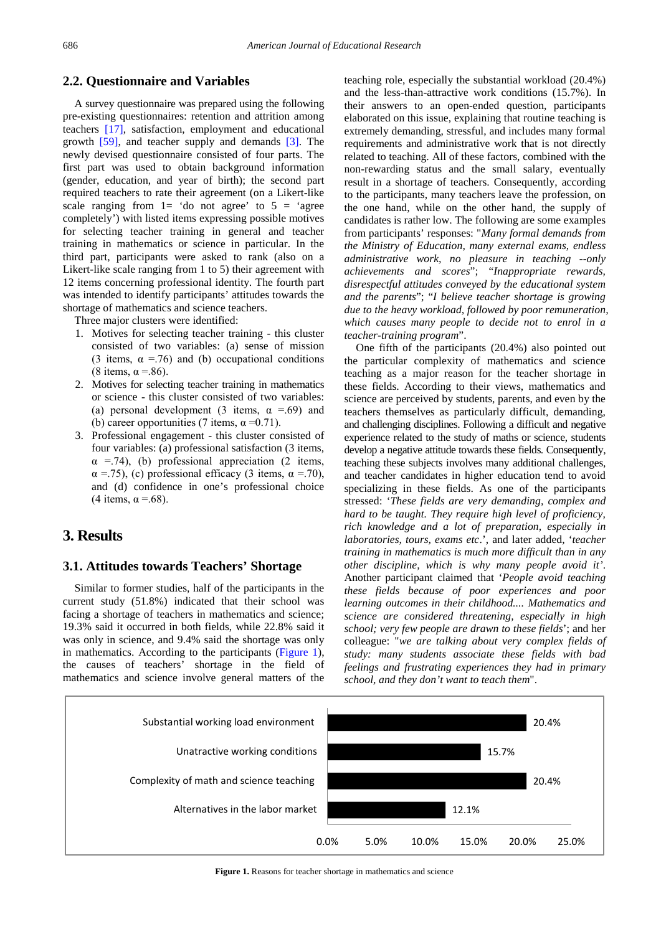# **2.2. Questionnaire and Variables**

A survey questionnaire was prepared using the following pre-existing questionnaires: retention and attrition among teachers [\[17\],](#page-9-9) satisfaction, employment and educational growth [\[59\],](#page-10-6) and teacher supply and demands [\[3\].](#page-8-1) The newly devised questionnaire consisted of four parts. The first part was used to obtain background information (gender, education, and year of birth); the second part required teachers to rate their agreement (on a Likert-like scale ranging from  $1=$  'do not agree' to  $5 =$  'agree completely') with listed items expressing possible motives for selecting teacher training in general and teacher training in mathematics or science in particular. In the third part, participants were asked to rank (also on a Likert-like scale ranging from 1 to 5) their agreement with 12 items concerning professional identity. The fourth part was intended to identify participants' attitudes towards the shortage of mathematics and science teachers.

Three major clusters were identified:

- 1. Motives for selecting teacher training this cluster consisted of two variables: (a) sense of mission (3 items,  $\alpha$  = 76) and (b) occupational conditions (8 items,  $\alpha = .86$ ).
- 2. Motives for selecting teacher training in mathematics or science - this cluster consisted of two variables: (a) personal development (3 items,  $\alpha = .69$ ) and (b) career opportunities (7 items,  $\alpha = 0.71$ ).
- 3. Professional engagement this cluster consisted of four variables: (a) professional satisfaction (3 items,  $\alpha$  =.74), (b) professional appreciation (2 items,  $\alpha$  =.75), (c) professional efficacy (3 items,  $\alpha$  =.70), and (d) confidence in one's professional choice (4 items,  $\alpha$  =.68).

# **3. Results**

#### **3.1. Attitudes towards Teachers' Shortage**

Similar to former studies, half of the participants in the current study (51.8%) indicated that their school was facing a shortage of teachers in mathematics and science; 19.3% said it occurred in both fields, while 22.8% said it was only in science, and 9.4% said the shortage was only in mathematics. According to the participants [\(Figure 1\)](#page-3-0), the causes of teachers' shortage in the field of mathematics and science involve general matters of the

teaching role, especially the substantial workload (20.4%) and the less-than-attractive work conditions (15.7%). In their answers to an open-ended question, participants elaborated on this issue, explaining that routine teaching is extremely demanding, stressful, and includes many formal requirements and administrative work that is not directly related to teaching. All of these factors, combined with the non-rewarding status and the small salary, eventually result in a shortage of teachers. Consequently, according to the participants, many teachers leave the profession, on the one hand, while on the other hand, the supply of candidates is rather low. The following are some examples from participants' responses: "*Many formal demands from the Ministry of Education, many external exams, endless administrative work, no pleasure in teaching --only achievements and scores*"; "*Inappropriate rewards, disrespectful attitudes conveyed by the educational system and the parents*"; "*I believe teacher shortage is growing due to the heavy workload, followed by poor remuneration, which causes many people to decide not to enrol in a teacher-training program*".

One fifth of the participants (20.4%) also pointed out the particular complexity of mathematics and science teaching as a major reason for the teacher shortage in these fields. According to their views, mathematics and science are perceived by students, parents, and even by the teachers themselves as particularly difficult, demanding, and challenging disciplines. Following a difficult and negative experience related to the study of maths or science, students develop a negative attitude towards these fields. Consequently, teaching these subjects involves many additional challenges, and teacher candidates in higher education tend to avoid specializing in these fields. As one of the participants stressed: '*These fields are very demanding, complex and hard to be taught. They require high level of proficiency, rich knowledge and a lot of preparation, especially in laboratories, tours, exams etc*.', and later added, '*teacher training in mathematics is much more difficult than in any other discipline, which is why many people avoid it'*. Another participant claimed that '*People avoid teaching these fields because of poor experiences and poor learning outcomes in their childhood.... Mathematics and science are considered threatening, especially in high school; very few people are drawn to these fields*'; and her colleague: "*we are talking about very complex fields of study: many students associate these fields with bad feelings and frustrating experiences they had in primary school, and they don't want to teach them*".

<span id="page-3-0"></span>

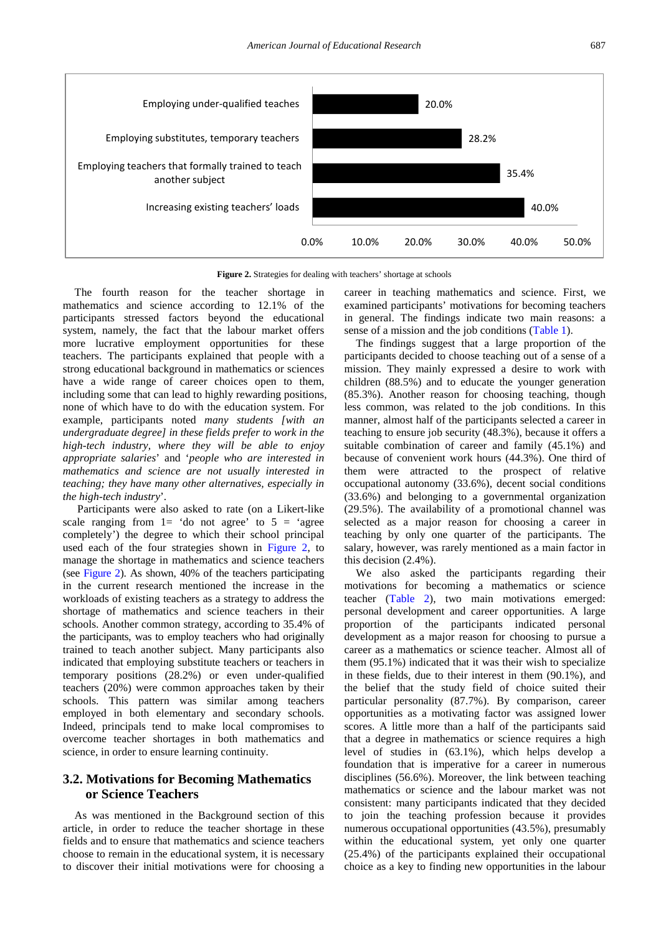<span id="page-4-0"></span>

Figure 2. Strategies for dealing with teachers' shortage at schools

The fourth reason for the teacher shortage in mathematics and science according to 12.1% of the participants stressed factors beyond the educational system, namely, the fact that the labour market offers more lucrative employment opportunities for these teachers. The participants explained that people with a strong educational background in mathematics or sciences have a wide range of career choices open to them, including some that can lead to highly rewarding positions, none of which have to do with the education system. For example, participants noted *many students [with an undergraduate degree] in these fields prefer to work in the high-tech industry, where they will be able to enjoy appropriate salaries*' and '*people who are interested in mathematics and science are not usually interested in teaching; they have many other alternatives, especially in the high-tech industry*'.

Participants were also asked to rate (on a Likert-like scale ranging from  $1=$  'do not agree' to  $5 =$  'agree completely') the degree to which their school principal used each of the four strategies shown in [Figure 2,](#page-4-0) to manage the shortage in mathematics and science teachers (see [Figure 2\)](#page-4-0). As shown, 40% of the teachers participating in the current research mentioned the increase in the workloads of existing teachers as a strategy to address the shortage of mathematics and science teachers in their schools. Another common strategy, according to 35.4% of the participants, was to employ teachers who had originally trained to teach another subject. Many participants also indicated that employing substitute teachers or teachers in temporary positions (28.2%) or even under-qualified teachers (20%) were common approaches taken by their schools. This pattern was similar among teachers employed in both elementary and secondary schools. Indeed, principals tend to make local compromises to overcome teacher shortages in both mathematics and science, in order to ensure learning continuity.

# **3.2. Motivations for Becoming Mathematics or Science Teachers**

As was mentioned in the Background section of this article, in order to reduce the teacher shortage in these fields and to ensure that mathematics and science teachers choose to remain in the educational system, it is necessary to discover their initial motivations were for choosing a career in teaching mathematics and science. First, we examined participants' motivations for becoming teachers in general. The findings indicate two main reasons: a sense of a mission and the job conditions [\(Table 1\)](#page-5-0).

The findings suggest that a large proportion of the participants decided to choose teaching out of a sense of a mission. They mainly expressed a desire to work with children (88.5%) and to educate the younger generation (85.3%). Another reason for choosing teaching, though less common, was related to the job conditions. In this manner, almost half of the participants selected a career in teaching to ensure job security (48.3%), because it offers a suitable combination of career and family (45.1%) and because of convenient work hours (44.3%). One third of them were attracted to the prospect of relative occupational autonomy (33.6%), decent social conditions (33.6%) and belonging to a governmental organization (29.5%). The availability of a promotional channel was selected as a major reason for choosing a career in teaching by only one quarter of the participants. The salary, however, was rarely mentioned as a main factor in this decision (2.4%).

We also asked the participants regarding their motivations for becoming a mathematics or science teacher [\(Table 2\)](#page-5-1), two main motivations emerged: personal development and career opportunities. A large proportion of the participants indicated personal development as a major reason for choosing to pursue a career as a mathematics or science teacher. Almost all of them (95.1%) indicated that it was their wish to specialize in these fields, due to their interest in them (90.1%), and the belief that the study field of choice suited their particular personality (87.7%). By comparison, career opportunities as a motivating factor was assigned lower scores. A little more than a half of the participants said that a degree in mathematics or science requires a high level of studies in (63.1%), which helps develop a foundation that is imperative for a career in numerous disciplines (56.6%). Moreover, the link between teaching mathematics or science and the labour market was not consistent: many participants indicated that they decided to join the teaching profession because it provides numerous occupational opportunities (43.5%), presumably within the educational system, yet only one quarter (25.4%) of the participants explained their occupational choice as a key to finding new opportunities in the labour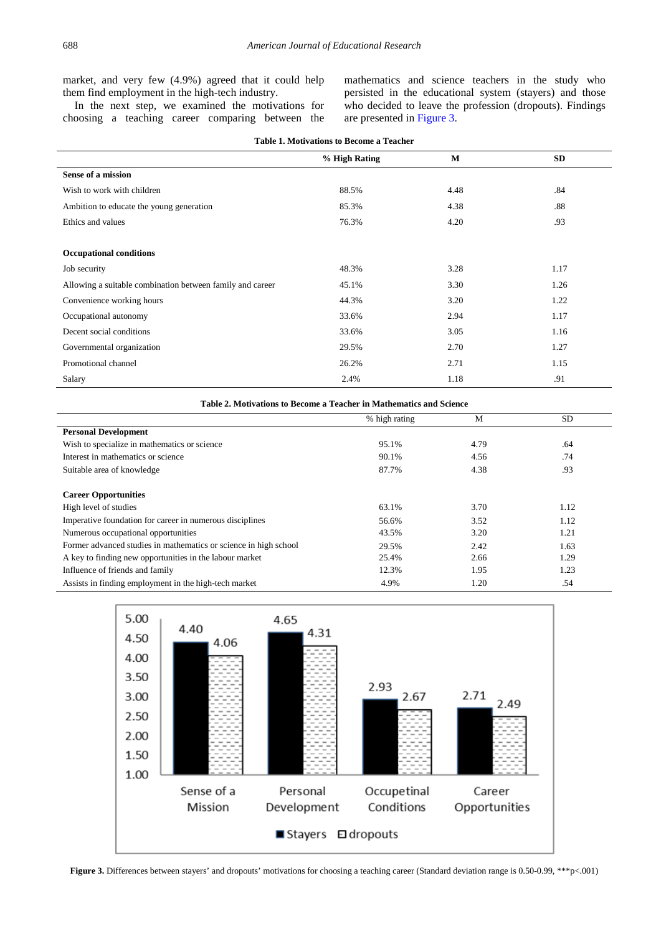market, and very few (4.9%) agreed that it could help them find employment in the high-tech industry.

In the next step, we examined the motivations for choosing a teaching career comparing between the mathematics and science teachers in the study who persisted in the educational system (stayers) and those who decided to leave the profession (dropouts). Findings are presented in [Figure 3.](#page-5-2)

<span id="page-5-0"></span>

| <b>Table 1. Motivations to Become a Teacher</b>           |               |      |           |  |  |  |
|-----------------------------------------------------------|---------------|------|-----------|--|--|--|
|                                                           | % High Rating | M    | <b>SD</b> |  |  |  |
| Sense of a mission                                        |               |      |           |  |  |  |
| Wish to work with children                                | 88.5%         | 4.48 | .84       |  |  |  |
| Ambition to educate the young generation                  | 85.3%         | 4.38 | .88       |  |  |  |
| Ethics and values                                         | 76.3%         | 4.20 | .93       |  |  |  |
|                                                           |               |      |           |  |  |  |
| <b>Occupational conditions</b>                            |               |      |           |  |  |  |
| Job security                                              | 48.3%         | 3.28 | 1.17      |  |  |  |
| Allowing a suitable combination between family and career | 45.1%         | 3.30 | 1.26      |  |  |  |
| Convenience working hours                                 | 44.3%         | 3.20 | 1.22      |  |  |  |
| Occupational autonomy                                     | 33.6%         | 2.94 | 1.17      |  |  |  |
| Decent social conditions                                  | 33.6%         | 3.05 | 1.16      |  |  |  |
| Governmental organization                                 | 29.5%         | 2.70 | 1.27      |  |  |  |
| Promotional channel                                       | 26.2%         | 2.71 | 1.15      |  |  |  |
| Salary                                                    | 2.4%          | 1.18 | .91       |  |  |  |

<span id="page-5-1"></span>

| Table 2. Motivations to Become a Teacher in Mathematics and Science |               |      |      |  |
|---------------------------------------------------------------------|---------------|------|------|--|
|                                                                     | % high rating | M    | SD.  |  |
| <b>Personal Development</b>                                         |               |      |      |  |
| Wish to specialize in mathematics or science                        | 95.1%         | 4.79 | .64  |  |
| Interest in mathematics or science                                  | 90.1%         | 4.56 | .74  |  |
| Suitable area of knowledge                                          | 87.7%         | 4.38 | .93  |  |
|                                                                     |               |      |      |  |
| <b>Career Opportunities</b>                                         |               |      |      |  |
| High level of studies                                               | 63.1%         | 3.70 | 1.12 |  |
| Imperative foundation for career in numerous disciplines            | 56.6%         | 3.52 | 1.12 |  |
| Numerous occupational opportunities                                 | 43.5%         | 3.20 | 1.21 |  |
| Former advanced studies in mathematics or science in high school    | 29.5%         | 2.42 | 1.63 |  |
| A key to finding new opportunities in the labour market             | 25.4%         | 2.66 | 1.29 |  |
| Influence of friends and family                                     | 12.3%         | 1.95 | 1.23 |  |
| Assists in finding employment in the high-tech market               | 4.9%          | 1.20 | .54  |  |

<span id="page-5-2"></span>

**Figure 3.** Differences between stayers' and dropouts' motivations for choosing a teaching career (Standard deviation range is 0.50-0.99, \*\*\*p<.001)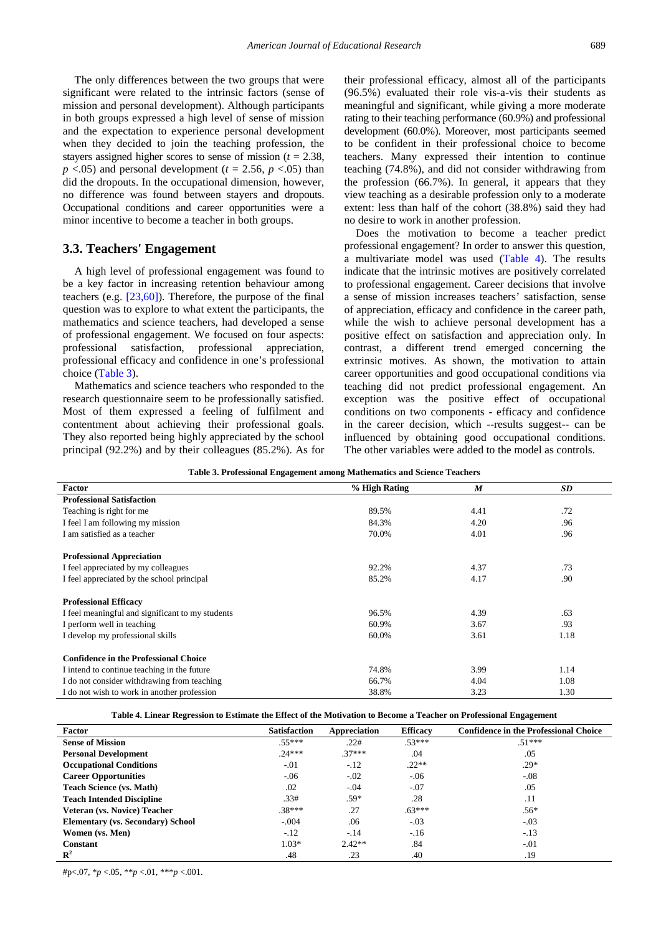The only differences between the two groups that were significant were related to the intrinsic factors (sense of mission and personal development). Although participants in both groups expressed a high level of sense of mission and the expectation to experience personal development when they decided to join the teaching profession, the stayers assigned higher scores to sense of mission (*t* = 2.38,  $p \leq 0.05$  and personal development ( $t = 2.56$ ,  $p \leq 0.05$ ) than did the dropouts. In the occupational dimension, however, no difference was found between stayers and dropouts. Occupational conditions and career opportunities were a minor incentive to become a teacher in both groups.

### **3.3. Teachers' Engagement**

A high level of professional engagement was found to be a key factor in increasing retention behaviour among teachers (e.g. [\[23,60\]\)](#page-9-14). Therefore, the purpose of the final question was to explore to what extent the participants, the mathematics and science teachers, had developed a sense of professional engagement. We focused on four aspects: professional satisfaction, professional appreciation, professional efficacy and confidence in one's professional choice [\(Table 3\)](#page-6-0).

Mathematics and science teachers who responded to the research questionnaire seem to be professionally satisfied. Most of them expressed a feeling of fulfilment and contentment about achieving their professional goals. They also reported being highly appreciated by the school principal (92.2%) and by their colleagues (85.2%). As for their professional efficacy, almost all of the participants (96.5%) evaluated their role vis-a-vis their students as meaningful and significant, while giving a more moderate rating to their teaching performance (60.9%) and professional development (60.0%). Moreover, most participants seemed to be confident in their professional choice to become teachers. Many expressed their intention to continue teaching (74.8%), and did not consider withdrawing from the profession (66.7%). In general, it appears that they view teaching as a desirable profession only to a moderate extent: less than half of the cohort (38.8%) said they had no desire to work in another profession.

Does the motivation to become a teacher predict professional engagement? In order to answer this question, a multivariate model was used [\(Table 4\)](#page-6-1). The results indicate that the intrinsic motives are positively correlated to professional engagement. Career decisions that involve a sense of mission increases teachers' satisfaction, sense of appreciation, efficacy and confidence in the career path, while the wish to achieve personal development has a positive effect on satisfaction and appreciation only. In contrast, a different trend emerged concerning the extrinsic motives. As shown, the motivation to attain career opportunities and good occupational conditions via teaching did not predict professional engagement. An exception was the positive effect of occupational conditions on two components - efficacy and confidence in the career decision, which --results suggest-- can be influenced by obtaining good occupational conditions. The other variables were added to the model as controls.

<span id="page-6-0"></span>

| Table 5. I Foressional Engagement among Mathematics and Science Teachers |               |                  |           |  |  |
|--------------------------------------------------------------------------|---------------|------------------|-----------|--|--|
| Factor                                                                   | % High Rating | $\boldsymbol{M}$ | <b>SD</b> |  |  |
| <b>Professional Satisfaction</b>                                         |               |                  |           |  |  |
| Teaching is right for me                                                 | 89.5%         | 4.41             | .72       |  |  |
| I feel I am following my mission                                         | 84.3%         | 4.20             | .96       |  |  |
| I am satisfied as a teacher                                              | 70.0%         | 4.01             | .96       |  |  |
| <b>Professional Appreciation</b>                                         |               |                  |           |  |  |
| I feel appreciated by my colleagues                                      | 92.2%         | 4.37             | .73       |  |  |
| I feel appreciated by the school principal                               | 85.2%         | 4.17             | .90       |  |  |
| <b>Professional Efficacy</b>                                             |               |                  |           |  |  |
| I feel meaningful and significant to my students                         | 96.5%         | 4.39             | .63       |  |  |
| I perform well in teaching                                               | 60.9%         | 3.67             | .93       |  |  |
| I develop my professional skills                                         | 60.0%         | 3.61             | 1.18      |  |  |
| <b>Confidence in the Professional Choice</b>                             |               |                  |           |  |  |
| I intend to continue teaching in the future                              | 74.8%         | 3.99             | 1.14      |  |  |
| I do not consider withdrawing from teaching                              | 66.7%         | 4.04             | 1.08      |  |  |
| I do not wish to work in another profession                              | 38.8%         | 3.23             | 1.30      |  |  |

**Table 3. Professional Engagement among Mathematics and Science Teachers**

**Table 4. Linear Regression to Estimate the Effect of the Motivation to Become a Teacher on Professional Engagement**

<span id="page-6-1"></span>

| Factor                                   | <b>Satisfaction</b> | Appreciation | <b>Efficacy</b> | <b>Confidence in the Professional Choice</b> |
|------------------------------------------|---------------------|--------------|-----------------|----------------------------------------------|
| <b>Sense of Mission</b>                  | $.55***$            | .22#         | $.53***$        | $51***$                                      |
| <b>Personal Development</b>              | $24***$             | $.37***$     | .04             | .05                                          |
| <b>Occupational Conditions</b>           | $-.01$              | $-.12$       | $.22**$         | $.29*$                                       |
| <b>Career Opportunities</b>              | $-0.06$             | $-.02$       | $-06$           | $-.08$                                       |
| <b>Teach Science (vs. Math)</b>          | $.02\,$             | $-.04$       | $-.07$          | .05                                          |
| <b>Teach Intended Discipline</b>         | .33#                | .59*         | .28             | .11                                          |
| Veteran (vs. Novice) Teacher             | $.38***$            | .27          | $.63***$        | $.56*$                                       |
| <b>Elementary (vs. Secondary) School</b> | $-.004$             | .06          | $-.03$          | $-.03$                                       |
| Women (vs. Men)                          | $-.12$              | $-.14$       | $-16$           | $-.13$                                       |
| <b>Constant</b>                          | $1.03*$             | $2.42**$     | .84             | $-.01$                                       |
| $\mathbb{R}^2$                           | .48                 | .23          | .40             | .19                                          |

#p<.07, \**p* <.05, \*\**p* <.01, \*\*\**p* <.001.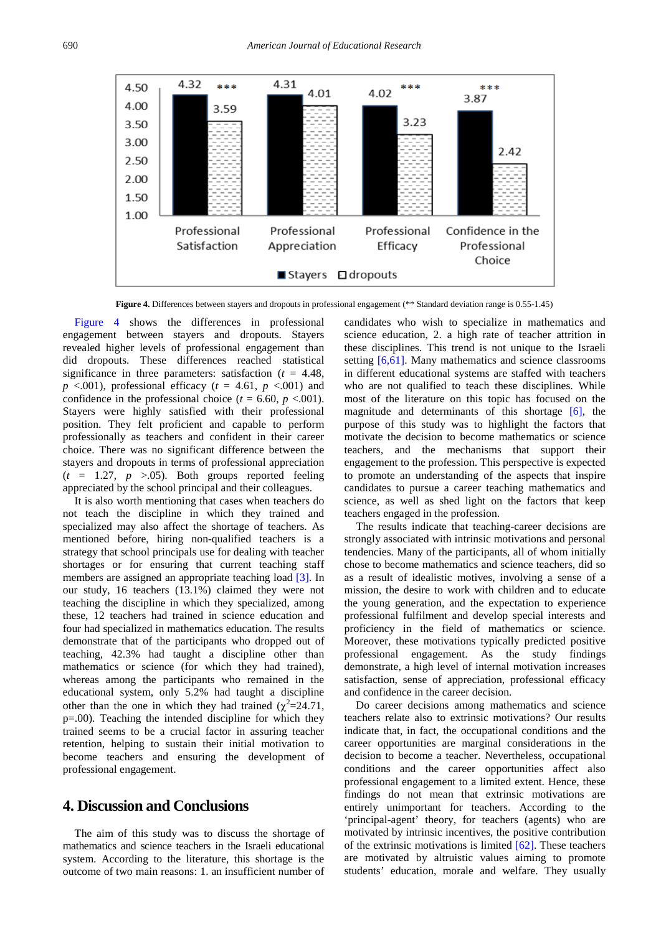<span id="page-7-0"></span>

**Figure 4.** Differences between stayers and dropouts in professional engagement (\*\* Standard deviation range is 0.55-1.45)

[Figure 4](#page-7-0) shows the differences in professional engagement between stayers and dropouts. Stayers revealed higher levels of professional engagement than did dropouts. These differences reached statistical significance in three parameters: satisfaction (*t* = 4.48,  $p \leq 0.001$ , professional efficacy ( $t = 4.61$ ,  $p \leq 0.001$ ) and confidence in the professional choice ( $t = 6.60$ ,  $p < .001$ ). Stayers were highly satisfied with their professional position. They felt proficient and capable to perform professionally as teachers and confident in their career choice. There was no significant difference between the stayers and dropouts in terms of professional appreciation  $(t = 1.27, p > 0.05)$ . Both groups reported feeling appreciated by the school principal and their colleagues.

It is also worth mentioning that cases when teachers do not teach the discipline in which they trained and specialized may also affect the shortage of teachers. As mentioned before, hiring non-qualified teachers is a strategy that school principals use for dealing with teacher shortages or for ensuring that current teaching staff members are assigned an appropriate teaching load [\[3\].](#page-8-1) In our study, 16 teachers (13.1%) claimed they were not teaching the discipline in which they specialized, among these, 12 teachers had trained in science education and four had specialized in mathematics education. The results demonstrate that of the participants who dropped out of teaching, 42.3% had taught a discipline other than mathematics or science (for which they had trained), whereas among the participants who remained in the educational system, only 5.2% had taught a discipline other than the one in which they had trained  $(\chi^2=24.71,$ p=.00). Teaching the intended discipline for which they trained seems to be a crucial factor in assuring teacher retention, helping to sustain their initial motivation to become teachers and ensuring the development of professional engagement.

# **4. Discussion and Conclusions**

The aim of this study was to discuss the shortage of mathematics and science teachers in the Israeli educational system. According to the literature, this shortage is the outcome of two main reasons: 1. an insufficient number of

candidates who wish to specialize in mathematics and science education, 2. a high rate of teacher attrition in these disciplines. This trend is not unique to the Israeli setting [\[6,61\].](#page-9-6) Many mathematics and science classrooms in different educational systems are staffed with teachers who are not qualified to teach these disciplines. While most of the literature on this topic has focused on the magnitude and determinants of this shortage [\[6\],](#page-9-6) the purpose of this study was to highlight the factors that motivate the decision to become mathematics or science teachers, and the mechanisms that support their engagement to the profession. This perspective is expected to promote an understanding of the aspects that inspire candidates to pursue a career teaching mathematics and science, as well as shed light on the factors that keep teachers engaged in the profession.

The results indicate that teaching-career decisions are strongly associated with intrinsic motivations and personal tendencies. Many of the participants, all of whom initially chose to become mathematics and science teachers, did so as a result of idealistic motives, involving a sense of a mission, the desire to work with children and to educate the young generation, and the expectation to experience professional fulfilment and develop special interests and proficiency in the field of mathematics or science. Moreover, these motivations typically predicted positive professional engagement. As the study findings demonstrate, a high level of internal motivation increases satisfaction, sense of appreciation, professional efficacy and confidence in the career decision.

Do career decisions among mathematics and science teachers relate also to extrinsic motivations? Our results indicate that, in fact, the occupational conditions and the career opportunities are marginal considerations in the decision to become a teacher. Nevertheless, occupational conditions and the career opportunities affect also professional engagement to a limited extent. Hence, these findings do not mean that extrinsic motivations are entirely unimportant for teachers. According to the 'principal-agent' theory, for teachers (agents) who are motivated by intrinsic incentives, the positive contribution of the extrinsic motivations is limited  $[62]$ . These teachers are motivated by altruistic values aiming to promote students' education, morale and welfare. They usually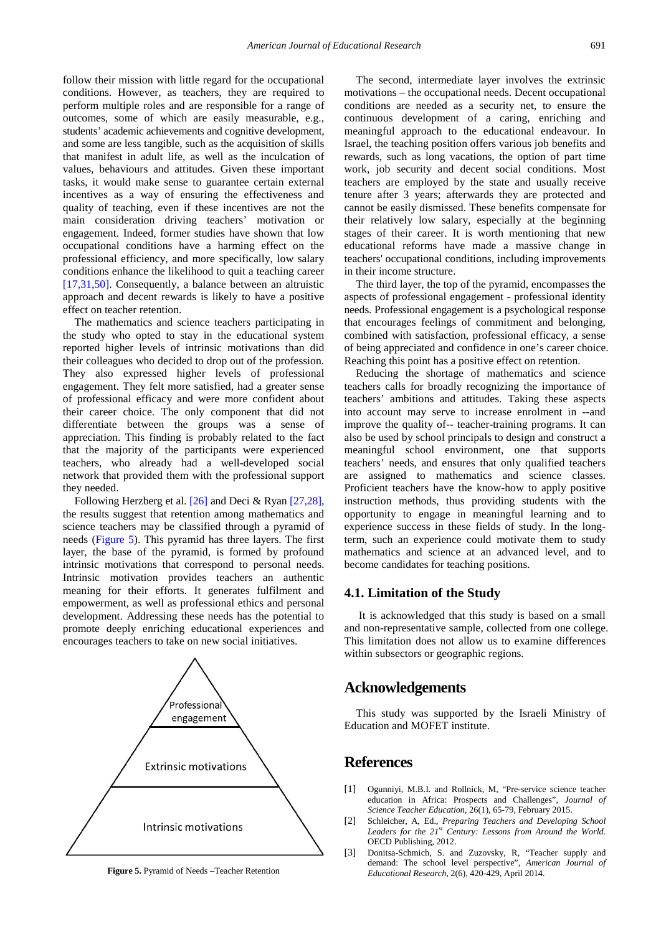follow their mission with little regard for the occupational conditions. However, as teachers, they are required to perform multiple roles and are responsible for a range of outcomes, some of which are easily measurable, e.g., students' academic achievements and cognitive development, and some are less tangible, such as the acquisition of skills that manifest in adult life, as well as the inculcation of values, behaviours and attitudes. Given these important tasks, it would make sense to guarantee certain external incentives as a way of ensuring the effectiveness and quality of teaching, even if these incentives are not the main consideration driving teachers' motivation or engagement. Indeed, former studies have shown that low occupational conditions have a harming effect on the professional efficiency, and more specifically, low salary conditions enhance the likelihood to quit a teaching career [\[17,31,50\].](#page-9-9) Consequently, a balance between an altruistic approach and decent rewards is likely to have a positive effect on teacher retention.

The mathematics and science teachers participating in the study who opted to stay in the educational system reported higher levels of intrinsic motivations than did their colleagues who decided to drop out of the profession. They also expressed higher levels of professional engagement. They felt more satisfied, had a greater sense of professional efficacy and were more confident about their career choice. The only component that did not differentiate between the groups was a sense of appreciation. This finding is probably related to the fact that the majority of the participants were experienced teachers, who already had a well-developed social network that provided them with the professional support they needed.

Following Herzberg et al. [\[26\]](#page-9-12) and Deci & Ryan [\[27,28\],](#page-9-13) the results suggest that retention among mathematics and science teachers may be classified through a pyramid of needs [\(Figure 5\)](#page-8-2). This pyramid has three layers. The first layer, the base of the pyramid, is formed by profound intrinsic motivations that correspond to personal needs. Intrinsic motivation provides teachers an authentic meaning for their efforts. It generates fulfilment and empowerment, as well as professional ethics and personal development. Addressing these needs has the potential to promote deeply enriching educational experiences and encourages teachers to take on new social initiatives.

<span id="page-8-2"></span>

**Figure 5.** Pyramid of Needs –Teacher Retention

The second, intermediate layer involves the extrinsic motivations – the occupational needs. Decent occupational conditions are needed as a security net, to ensure the continuous development of a caring, enriching and meaningful approach to the educational endeavour. In Israel, the teaching position offers various job benefits and rewards, such as long vacations, the option of part time work, job security and decent social conditions. Most teachers are employed by the state and usually receive tenure after 3 years; afterwards they are protected and cannot be easily dismissed. These benefits compensate for their relatively low salary, especially at the beginning stages of their career. It is worth mentioning that new educational reforms have made a massive change in teachers' occupational conditions, including improvements in their income structure.

The third layer, the top of the pyramid, encompasses the aspects of professional engagement - professional identity needs. Professional engagement is a psychological response that encourages feelings of commitment and belonging, combined with satisfaction, professional efficacy, a sense of being appreciated and confidence in one's career choice. Reaching this point has a positive effect on retention.

Reducing the shortage of mathematics and science teachers calls for broadly recognizing the importance of teachers' ambitions and attitudes. Taking these aspects into account may serve to increase enrolment in --and improve the quality of-- teacher-training programs. It can also be used by school principals to design and construct a meaningful school environment, one that supports teachers' needs, and ensures that only qualified teachers are assigned to mathematics and science classes. Proficient teachers have the know-how to apply positive instruction methods, thus providing students with the opportunity to engage in meaningful learning and to experience success in these fields of study. In the longterm, such an experience could motivate them to study mathematics and science at an advanced level, and to become candidates for teaching positions.

#### **4.1. Limitation of the Study**

It is acknowledged that this study is based on a small and non-representative sample, collected from one college. This limitation does not allow us to examine differences within subsectors or geographic regions.

## **Acknowledgements**

This study was supported by the Israeli Ministry of Education and MOFET institute.

## **References**

- <span id="page-8-0"></span>[1] Ogunniyi, M.B.I. and Rollnick, M, "Pre-service science teacher education in Africa: Prospects and Challenges", *Journal of Science Teacher Education*, 26(1), 65-79, February 2015.
- [2] Schleicher, A, Ed.*, Preparing Teachers and Developing School Leaders for the 21st Century: Lessons from Around the World.* OECD Publishing, 2012.
- <span id="page-8-1"></span>[3] Donitsa-Schmich, S. and Zuzovsky, R, "Teacher supply and demand: The school level perspective", *American Journal of Educational Research*, 2(6), 420-429, April 2014.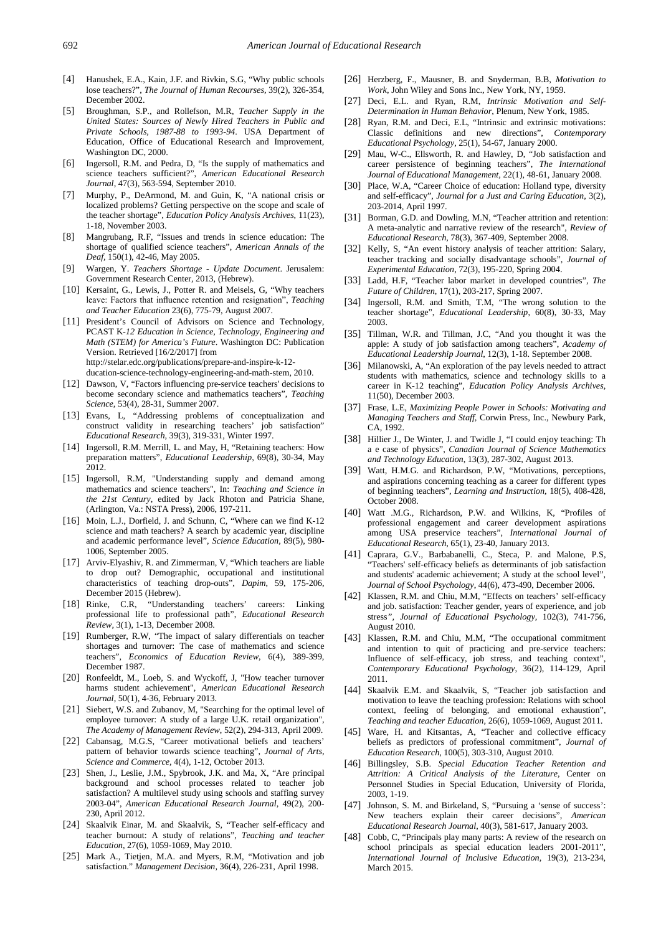- [4] Hanushek, E.A., Kain, J.F. and Rivkin, S.G, "Why public schools lose teachers?", *The Journal of Human Recourses,* 39(2), 326-354, December 2002.
- <span id="page-9-0"></span>[5] Broughman, S.P., and Rollefson, M.R, *Teacher Supply in the United States: Sources of Newly Hired Teachers in Public and Private Schools, 1987-88 to 1993-94*. USA Department of Education, Office of Educational Research and Improvement, Washington DC, 2000.
- <span id="page-9-6"></span>[6] Ingersoll, R.M. and Pedra, D, "Is the supply of mathematics and science teachers sufficient?", *American Educational Research Journal*, 47(3), 563-594, September 2010.
- <span id="page-9-1"></span>[7] Murphy, P., DeArmond, M. and Guin, K, "A national crisis or localized problems? Getting perspective on the scope and scale of the teacher shortage", *Education Policy Analysis Archives*, 11(23), 1-18, November 2003.
- <span id="page-9-2"></span>[8] Mangrubang, R.F, "Issues and trends in science education: The shortage of qualified science teachers", *American Annals of the Deaf,* 150(1), 42-46, May 2005.
- <span id="page-9-25"></span>[9] Wargen, Y. *Teachers Shortage - Update Document*. Jerusalem: Government Research Center, 2013, (Hebrew).
- [10] Kersaint, G., Lewis, J., Potter R. and Meisels, G. "Why teachers leave: Factors that influence retention and resignation", *Teaching and Teacher Education* 23(6), 775-79, August 2007.
- <span id="page-9-3"></span>[11] President's Council of Advisors on Science and Technology, PCAST K*-12 Education in Science, Technology, Engineering and Math (STEM) for America's Future*. Washington DC: Publication Version. Retrieved [16/2/2017] from http://stelar.edc.org/publications/prepare-and-inspire-k-12 ducation-science-technology-engineering-and-math-stem, 2010.
- <span id="page-9-4"></span>[12] Dawson, V, "Factors influencing pre-service teachers' decisions to become secondary science and mathematics teachers", *Teaching Science*, 53(4), 28-31, Summer 2007.
- <span id="page-9-5"></span>[13] Evans, L, "Addressing problems of conceptualization and construct validity in researching teachers' job satisfaction" *Educational Research*, 39(3), 319-331, Winter 1997.
- <span id="page-9-7"></span>[14] Ingersoll, R.M. Merrill, L. and May, H, "Retaining teachers: How preparation matters", *Educational Leadership*, 69(8), 30-34, May 2012.
- [15] Ingersoll, R.M, "Understanding supply and demand among mathematics and science teachers", In: *Teaching and Science in the 21st Century*, edited by Jack Rhoton and Patricia Shane, (Arlington, Va.: NSTA Press), 2006, 197-211.
- <span id="page-9-8"></span>[16] Moin, L.J., Dorfield, J. and Schunn, C, "Where can we find K-12 science and math teachers? A search by academic year, discipline and academic performance level", *Science Education*, 89(5), 980- 1006, September 2005.
- <span id="page-9-9"></span>[17] Arviv-Elyashiv, R. and Zimmerman, V, "Which teachers are liable to drop out? Demographic, occupational and institutional characteristics of teaching drop-outs", *Dapim*, 59, 175-206, December 2015 (Hebrew).
- [18] Rinke, C.R, "Understanding teachers' careers: Linking professional life to professional path", *Educational Research Review,* 3(1), 1-13, December 2008.
- [19] Rumberger, R.W, "The impact of salary differentials on teacher shortages and turnover: The case of mathematics and science teachers", *Economics of Education Review*, 6(4), 389-399, December 1987.
- <span id="page-9-10"></span>[20] Ronfeeldt, M., Loeb, S. and Wyckoff, J, "How teacher turnover harms student achievement", *American Educational Research Journal*, 50(1), 4-36, February 2013.
- [21] Siebert, W.S. and Zubanov, M, "Searching for the optimal level of employee turnover: A study of a large U.K. retail organization", *The Academy of Management Review*, 52(2), 294-313, April 2009.
- <span id="page-9-19"></span>[22] Cabansag, M.G.S, "Career motivational beliefs and teachers' pattern of behavior towards science teaching", *Journal of Arts, Science and Commerce*, 4(4), 1-12, October 2013.
- <span id="page-9-14"></span>[23] Shen, J., Leslie, J.M., Spybrook, J.K. and Ma, X, "Are principal background and school processes related to teacher job satisfaction? A multilevel study using schools and staffing survey 2003-04", *American Educational Research Journal*, 49(2), 200- 230, April 2012.
- <span id="page-9-11"></span>[24] Skaalvik Einar, M. and Skaalvik, S, "Teacher self-efficacy and teacher burnout: A study of relations", *Teaching and teacher Education*, 27(6), 1059-1069, May 2010.
- [25] Mark A., Tietjen, M.A. and Myers, R.M, "Motivation and job satisfaction." *Management Decision,* 36(4), 226-231, April 1998.
- <span id="page-9-12"></span>[26] Herzberg, F., Mausner, B. and Snyderman, B.B, *Motivation to Work*, John Wiley and Sons Inc., New York, NY, 1959.
- <span id="page-9-13"></span>[27] Deci, E.L. and Ryan, R.M, *Intrinsic Motivation and Self-Determination in Human Behavior*, Plenum, New York, 1985.
- [28] Ryan, R.M. and Deci, E.L, "Intrinsic and extrinsic motivations: Classic definitions and new directions", *Contemporary Educational Psychology*, 25(1), 54-67, January 2000.
- [29] Mau, W-C., Ellsworth, R. and Hawley, D, "Job satisfaction and career persistence of beginning teachers", *The International Journal of Educational Management,* 22(1), 48-61, January 2008.
- [30] Place, W.A, "Career Choice of education: Holland type, diversity and self-efficacy", *Journal for a Just and Caring Education*, 3(2), 203-2014, April 1997.
- <span id="page-9-15"></span>[31] Borman, G.D. and Dowling, M.N, "Teacher attrition and retention: A meta-analytic and narrative review of the research", *Review of Educational Research*, 78(3), 367-409, September 2008.
- [32] Kelly, S, "An event history analysis of teacher attrition: Salary, teacher tracking and socially disadvantage schools", *Journal of Experimental Education*, 72(3), 195-220, Spring 2004.
- [33] Ladd, H.F, "Teacher labor market in developed countries", *The Future of Children*, 17(1), 203-217, Spring 2007.
- <span id="page-9-16"></span>[34] Ingersoll, R.M. and Smith, T.M. "The wrong solution to the teacher shortage", *Educational Leadership*, 60(8), 30-33, May 2003.
- <span id="page-9-17"></span>[35] Tillman, W.R. and Tillman, J.C, "And you thought it was the apple: A study of job satisfaction among teachers", *Academy of Educational Leadership Journal*, 12(3), 1-18. September 2008.
- <span id="page-9-18"></span>[36] Milanowski, A, "An exploration of the pay levels needed to attract students with mathematics, science and technology skills to a career in K-12 teaching", *Education Policy Analysis Archives*, 11(50), December 2003.
- <span id="page-9-20"></span>[37] Frase, L.E, *Maximizing People Power in Schools: Motivating and Managing Teachers and Staff,* Corwin Press, Inc., Newbury Park, CA, 1992.
- [38] Hillier J., De Winter, J. and Twidle J, "I could enjoy teaching: Th a e case of physics", *Canadian Journal of Science Mathematics and Technology Education*, 13(3), 287-302, August 2013.
- [39] Watt, H.M.G. and Richardson, P.W. "Motivations, perceptions, and aspirations concerning teaching as a career for different types of beginning teachers", *Learning and Instruction,* 18(5), 408-428, October 2008.
- [40] Watt .M.G., Richardson, P.W. and Wilkins, K, "Profiles of professional engagement and career development aspirations among USA preservice teachers", *International Journal of Educational Research*, 65(1), 23-40, January 2013.
- <span id="page-9-21"></span>[41] Caprara, G.V., Barbabanelli, C., Steca, P. and Malone, P.S. "Teachers' self-efficacy beliefs as determinants of job satisfaction and students' academic achievement; A study at the school level", *Journal of School Psychology*, 44(6), 473-490, December 2006.
- <span id="page-9-22"></span>[42] Klassen, R.M. and Chiu, M.M, "Effects on teachers' self-efficacy and job. satisfaction: Teacher gender, years of experience, and job stress*", Journal of Educational Psychology*, 102(3), 741-756, August 2010.
- <span id="page-9-23"></span>[43] Klassen, R.M. and Chiu, M.M, "The occupational commitment and intention to quit of practicing and pre-service teachers: Influence of self-efficacy, job stress, and teaching context", *Contemporary Educational Psychology*, 36(2), 114-129, April 2011.
- [44] Skaalvik E.M. and Skaalvik, S, "Teacher job satisfaction and motivation to leave the teaching profession: Relations with school context, feeling of belonging, and emotional exhaustion", *Teaching and teacher Education*, 26(6), 1059-1069, August 2011.
- [45] Ware, H. and Kitsantas, A, "Teacher and collective efficacy beliefs as predictors of professional commitment", *Journal of Education Research*, 100(5), 303-310, August 2010.
- <span id="page-9-24"></span>[46] Billingsley, S.B. *Special Education Teacher Retention and Attrition: A Critical Analysis of the Literature,* Center on Personnel Studies in Special Education, University of Florida, 2003, 1-19.
- [47] Johnson, S. M. and Birkeland, S, "Pursuing a 'sense of success': New teachers explain their career decisions", *American Educational Research Journal*, 40(3), 581-617, January 2003.
- [48] Cobb, C, "Principals play many parts: A review of the research on school principals as special education leaders 2001-2011", *International Journal of Inclusive Education*, 19(3), 213-234, March 2015.